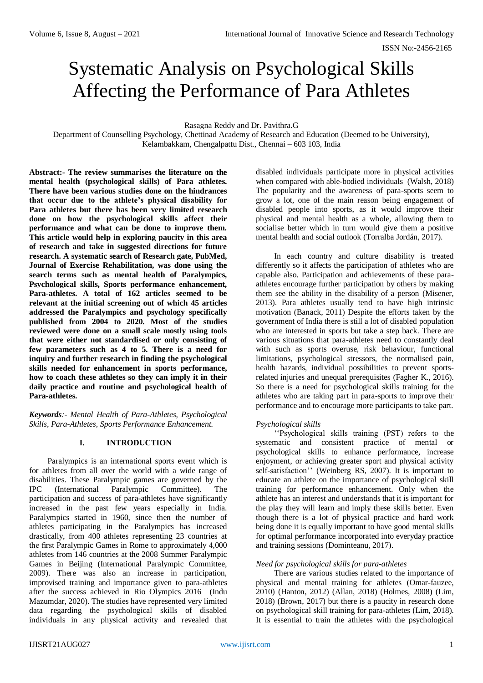# Systematic Analysis on Psychological Skills Affecting the Performance of Para Athletes

Rasagna Reddy and Dr. Pavithra.G

Department of Counselling Psychology, Chettinad Academy of Research and Education (Deemed to be University), Kelambakkam, Chengalpattu Dist., Chennai – 603 103, India

**Abstract:- The review summarises the literature on the mental health (psychological skills) of Para athletes. There have been various studies done on the hindrances that occur due to the athlete's physical disability for Para athletes but there has been very limited research done on how the psychological skills affect their performance and what can be done to improve them. This article would help in exploring paucity in this area of research and take in suggested directions for future research. A systematic search of Research gate, PubMed, Journal of Exercise Rehabilitation, was done using the search terms such as mental health of Paralympics, Psychological skills, Sports performance enhancement, Para-athletes. A total of 162 articles seemed to be relevant at the initial screening out of which 45 articles addressed the Paralympics and psychology specifically published from 2004 to 2020. Most of the studies reviewed were done on a small scale mostly using tools that were either not standardised or only consisting of few parameters such as 4 to 5. There is a need for inquiry and further research in finding the psychological skills needed for enhancement in sports performance, how to coach these athletes so they can imply it in their daily practice and routine and psychological health of Para-athletes.**

*Keywords:- Mental Health of Para-Athletes, Psychological Skills, Para-Athletes, Sports Performance Enhancement.*

# **I. INTRODUCTION**

Paralympics is an international sports event which is for athletes from all over the world with a wide range of disabilities. These Paralympic games are governed by the IPC (International Paralympic Committee). The participation and success of para-athletes have significantly increased in the past few years especially in India. Paralympics started in 1960, since then the number of athletes participating in the Paralympics has increased drastically, from 400 athletes representing 23 countries at the first Paralympic Games in Rome to approximately 4,000 athletes from 146 countries at the 2008 Summer Paralympic Games in Beijing (International Paralympic Committee, 2009). There was also an increase in participation, improvised training and importance given to para-athletes after the success achieved in Rio Olympics 2016 (Indu Mazumdar, 2020). The studies have represented very limited data regarding the psychological skills of disabled individuals in any physical activity and revealed that

disabled individuals participate more in physical activities when compared with able-bodied individuals (Walsh, 2018) The popularity and the awareness of para-sports seem to grow a lot, one of the main reason being engagement of disabled people into sports, as it would improve their physical and mental health as a whole, allowing them to socialise better which in turn would give them a positive mental health and social outlook (Torralba Jordán, 2017).

In each country and culture disability is treated differently so it affects the participation of athletes who are capable also. Participation and achievements of these paraathletes encourage further participation by others by making them see the ability in the disability of a person (Misener, 2013). Para athletes usually tend to have high intrinsic motivation (Banack, 2011) Despite the efforts taken by the government of India there is still a lot of disabled population who are interested in sports but take a step back. There are various situations that para-athletes need to constantly deal with such as sports overuse, risk behaviour, functional limitations, psychological stressors, the normalised pain, health hazards, individual possibilities to prevent sportsrelated injuries and unequal prerequisites (Fagher K., 2016). So there is a need for psychological skills training for the athletes who are taking part in para-sports to improve their performance and to encourage more participants to take part.

# *Psychological skills*

''Psychological skills training (PST) refers to the systematic and consistent practice of mental or psychological skills to enhance performance, increase enjoyment, or achieving greater sport and physical activity self-satisfaction'' (Weinberg RS, 2007). It is important to educate an athlete on the importance of psychological skill training for performance enhancement. Only when the athlete has an interest and understands that it is important for the play they will learn and imply these skills better. Even though there is a lot of physical practice and hard work being done it is equally important to have good mental skills for optimal performance incorporated into everyday practice and training sessions (Dominteanu, 2017).

# *Need for psychological skills for para-athletes*

There are various studies related to the importance of physical and mental training for athletes (Omar-fauzee, 2010) (Hanton, 2012) (Allan, 2018) (Holmes, 2008) (Lim, 2018) (Brown, 2017) but there is a paucity in research done on psychological skill training for para-athletes (Lim, 2018). It is essential to train the athletes with the psychological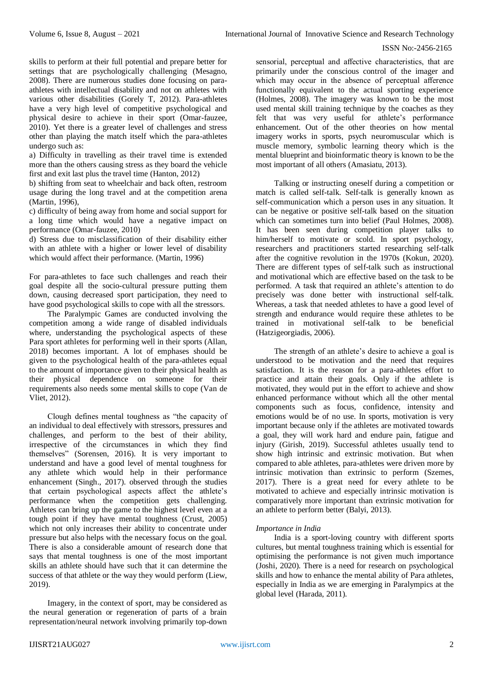skills to perform at their full potential and prepare better for settings that are psychologically challenging (Mesagno, 2008). There are numerous studies done focusing on paraathletes with intellectual disability and not on athletes with various other disabilities (Gorely T, 2012). Para-athletes have a very high level of competitive psychological and physical desire to achieve in their sport (Omar-fauzee, 2010). Yet there is a greater level of challenges and stress other than playing the match itself which the para-athletes undergo such as:

a) Difficulty in travelling as their travel time is extended more than the others causing stress as they board the vehicle first and exit last plus the travel time (Hanton, 2012)

b) shifting from seat to wheelchair and back often, restroom usage during the long travel and at the competition arena (Martin, 1996),

c) difficulty of being away from home and social support for a long time which would have a negative impact on performance (Omar-fauzee, 2010)

d) Stress due to misclassification of their disability either with an athlete with a higher or lower level of disability which would affect their performance. (Martin, 1996)

For para-athletes to face such challenges and reach their goal despite all the socio-cultural pressure putting them down, causing decreased sport participation, they need to have good psychological skills to cope with all the stressors.

The Paralympic Games are conducted involving the competition among a wide range of disabled individuals where, understanding the psychological aspects of these Para sport athletes for performing well in their sports (Allan, 2018) becomes important. A lot of emphases should be given to the psychological health of the para-athletes equal to the amount of importance given to their physical health as their physical dependence on someone for their requirements also needs some mental skills to cope (Van de Vliet, 2012).

Clough defines mental toughness as "the capacity of an individual to deal effectively with stressors, pressures and challenges, and perform to the best of their ability, irrespective of the circumstances in which they find themselves" (Sorensen, 2016). It is very important to understand and have a good level of mental toughness for any athlete which would help in their performance enhancement (Singh., 2017). observed through the studies that certain psychological aspects affect the athlete's performance when the competition gets challenging. Athletes can bring up the game to the highest level even at a tough point if they have mental toughness (Crust, 2005) which not only increases their ability to concentrate under pressure but also helps with the necessary focus on the goal. There is also a considerable amount of research done that says that mental toughness is one of the most important skills an athlete should have such that it can determine the success of that athlete or the way they would perform (Liew, 2019).

Imagery, in the context of sport, may be considered as the neural generation or regeneration of parts of a brain representation/neural network involving primarily top-down

sensorial, perceptual and affective characteristics, that are primarily under the conscious control of the imager and which may occur in the absence of perceptual afference functionally equivalent to the actual sporting experience (Holmes, 2008). The imagery was known to be the most used mental skill training technique by the coaches as they felt that was very useful for athlete's performance enhancement. Out of the other theories on how mental imagery works in sports, psych neuromuscular which is muscle memory, symbolic learning theory which is the mental blueprint and bioinformatic theory is known to be the most important of all others (Amasiatu, 2013).

Talking or instructing oneself during a competition or match is called self-talk. Self-talk is generally known as self-communication which a person uses in any situation. It can be negative or positive self-talk based on the situation which can sometimes turn into belief (Paul Holmes, 2008). It has been seen during competition player talks to him/herself to motivate or scold. In sport psychology, researchers and practitioners started researching self-talk after the cognitive revolution in the 1970s (Kokun, 2020). There are different types of self-talk such as instructional and motivational which are effective based on the task to be performed. A task that required an athlete's attention to do precisely was done better with instructional self-talk. Whereas, a task that needed athletes to have a good level of strength and endurance would require these athletes to be trained in motivational self-talk to be beneficial (Hatzigeorgiadis, 2006).

The strength of an athlete's desire to achieve a goal is understood to be motivation and the need that requires satisfaction. It is the reason for a para-athletes effort to practice and attain their goals. Only if the athlete is motivated, they would put in the effort to achieve and show enhanced performance without which all the other mental components such as focus, confidence, intensity and emotions would be of no use. In sports, motivation is very important because only if the athletes are motivated towards a goal, they will work hard and endure pain, fatigue and injury (Girish, 2019). Successful athletes usually tend to show high intrinsic and extrinsic motivation. But when compared to able athletes, para-athletes were driven more by intrinsic motivation than extrinsic to perform (Szemes, 2017). There is a great need for every athlete to be motivated to achieve and especially intrinsic motivation is comparatively more important than extrinsic motivation for an athlete to perform better (Balyi, 2013).

#### *Importance in India*

India is a sport-loving country with different sports cultures, but mental toughness training which is essential for optimising the performance is not given much importance (Joshi, 2020). There is a need for research on psychological skills and how to enhance the mental ability of Para athletes, especially in India as we are emerging in Paralympics at the global level (Harada, 2011).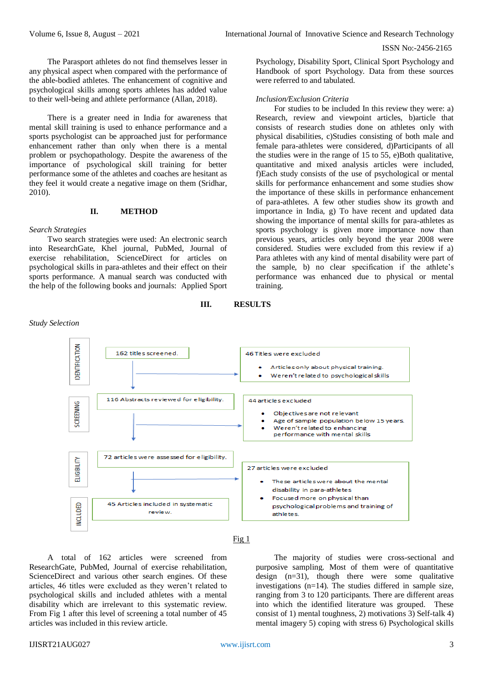The Parasport athletes do not find themselves lesser in any physical aspect when compared with the performance of the able-bodied athletes. The enhancement of cognitive and psychological skills among sports athletes has added value to their well-being and athlete performance (Allan, 2018).

There is a greater need in India for awareness that mental skill training is used to enhance performance and a sports psychologist can be approached just for performance enhancement rather than only when there is a mental problem or psychopathology. Despite the awareness of the importance of psychological skill training for better performance some of the athletes and coaches are hesitant as they feel it would create a negative image on them (Sridhar, 2010).

#### **II. METHOD**

#### *Search Strategies*

Two search strategies were used: An electronic search into ResearchGate, Khel journal, PubMed, Journal of exercise rehabilitation, ScienceDirect for articles on psychological skills in para-athletes and their effect on their sports performance. A manual search was conducted with the help of the following books and journals: Applied Sport

Psychology, Disability Sport, Clinical Sport Psychology and Handbook of sport Psychology. Data from these sources were referred to and tabulated.

### *Inclusion/Exclusion Criteria*

For studies to be included In this review they were: a) Research, review and viewpoint articles, b)article that consists of research studies done on athletes only with physical disabilities, c)Studies consisting of both male and female para-athletes were considered, d)Participants of all the studies were in the range of 15 to 55, e)Both qualitative, quantitative and mixed analysis articles were included, f)Each study consists of the use of psychological or mental skills for performance enhancement and some studies show the importance of these skills in performance enhancement of para-athletes. A few other studies show its growth and importance in India, g) To have recent and updated data showing the importance of mental skills for para-athletes as sports psychology is given more importance now than previous years, articles only beyond the year 2008 were considered. Studies were excluded from this review if a) Para athletes with any kind of mental disability were part of the sample, b) no clear specification if the athlete's performance was enhanced due to physical or mental training.

#### **III. RESULTS**



Fig 1

A total of 162 articles were screened from ResearchGate, PubMed, Journal of exercise rehabilitation, ScienceDirect and various other search engines. Of these articles, 46 titles were excluded as they weren't related to psychological skills and included athletes with a mental disability which are irrelevant to this systematic review. From Fig 1 after this level of screening a total number of 45 articles was included in this review article.

The majority of studies were cross-sectional and purposive sampling. Most of them were of quantitative design  $(n=31)$ , though there were some qualitative investigations  $(n=14)$ . The studies differed in sample size, ranging from 3 to 120 participants. There are different areas into which the identified literature was grouped. These consist of 1) mental toughness, 2) motivations 3) Self-talk 4) mental imagery 5) coping with stress 6) Psychological skills

*Study Selection*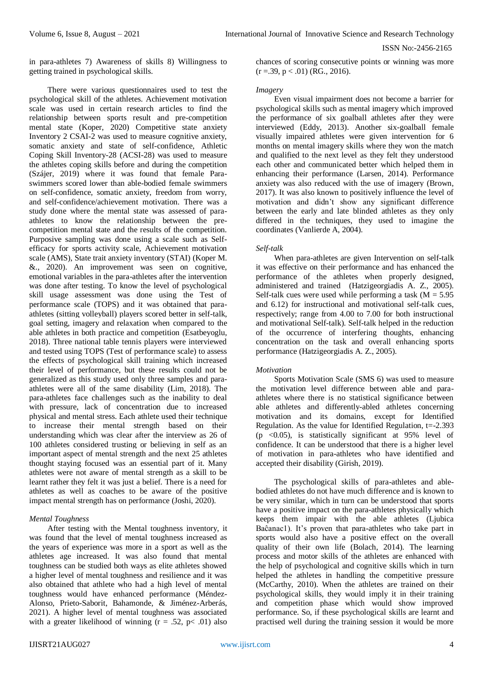in para-athletes 7) Awareness of skills 8) Willingness to getting trained in psychological skills.

There were various questionnaires used to test the psychological skill of the athletes. Achievement motivation scale was used in certain research articles to find the relationship between sports result and pre-competition mental state (Koper, 2020) Competitive state anxiety Inventory 2 CSAI-2 was used to measure cognitive anxiety, somatic anxiety and state of self-confidence, Athletic Coping Skill Inventory-28 (ACSI-28) was used to measure the athletes coping skills before and during the competition (Szájer, 2019) where it was found that female Paraswimmers scored lower than able-bodied female swimmers on self-confidence, somatic anxiety, freedom from worry, and self-confidence/achievement motivation. There was a study done where the mental state was assessed of paraathletes to know the relationship between the precompetition mental state and the results of the competition. Purposive sampling was done using a scale such as Selfefficacy for sports activity scale, Achievement motivation scale (AMS), State trait anxiety inventory (STAI) (Koper M. &., 2020). An improvement was seen on cognitive, emotional variables in the para-athletes after the intervention was done after testing. To know the level of psychological skill usage assessment was done using the Test of performance scale (TOPS) and it was obtained that paraathletes (sitting volleyball) players scored better in self-talk, goal setting, imagery and relaxation when compared to the able athletes in both practice and competition (Esatbeyoglu, 2018). Three national table tennis players were interviewed and tested using TOPS (Test of performance scale) to assess the effects of psychological skill training which increased their level of performance, but these results could not be generalized as this study used only three samples and paraathletes were all of the same disability (Lim, 2018). The para-athletes face challenges such as the inability to deal with pressure, lack of concentration due to increased physical and mental stress. Each athlete used their technique to increase their mental strength based on their understanding which was clear after the interview as 26 of 100 athletes considered trusting or believing in self as an important aspect of mental strength and the next 25 athletes thought staying focused was an essential part of it. Many athletes were not aware of mental strength as a skill to be learnt rather they felt it was just a belief. There is a need for athletes as well as coaches to be aware of the positive impact mental strength has on performance (Joshi, 2020).

## *Mental Toughness*

After testing with the Mental toughness inventory, it was found that the level of mental toughness increased as the years of experience was more in a sport as well as the athletes age increased. It was also found that mental toughness can be studied both ways as elite athletes showed a higher level of mental toughness and resilience and it was also obtained that athlete who had a high level of mental toughness would have enhanced performance (Méndez-Alonso, Prieto-Saborit, Bahamonde, & Jiménez-Arberás, 2021). A higher level of mental toughness was associated with a greater likelihood of winning  $(r = .52, p < .01)$  also

chances of scoring consecutive points or winning was more  $(r = .39, p < .01)$  (RG., 2016).

### *Imagery*

Even visual impairment does not become a barrier for psychological skills such as mental imagery which improved the performance of six goalball athletes after they were interviewed (Eddy, 2013). Another six-goalball female visually impaired athletes were given intervention for 6 months on mental imagery skills where they won the match and qualified to the next level as they felt they understood each other and communicated better which helped them in enhancing their performance (Larsen, 2014). Performance anxiety was also reduced with the use of imagery (Brown, 2017). It was also known to positively influence the level of motivation and didn't show any significant difference between the early and late blinded athletes as they only differed in the techniques, they used to imagine the coordinates (Vanlierde A, 2004).

# *Self-talk*

When para-athletes are given Intervention on self-talk it was effective on their performance and has enhanced the performance of the athletes when properly designed, administered and trained (Hatzigeorgiadis A. Z., 2005). Self-talk cues were used while performing a task ( $M = 5.95$ ) and 6.12) for instructional and motivational self-talk cues, respectively; range from 4.00 to 7.00 for both instructional and motivational Self-talk). Self-talk helped in the reduction of the occurrence of interfering thoughts, enhancing concentration on the task and overall enhancing sports performance (Hatzigeorgiadis A. Z., 2005).

# *Motivation*

Sports Motivation Scale (SMS 6) was used to measure the motivation level difference between able and paraathletes where there is no statistical significance between able athletes and differently-abled athletes concerning motivation and its domains, except for Identified Regulation. As the value for Identified Regulation,  $t = -2.393$ (p <0.05), is statistically significant at 95% level of confidence. It can be understood that there is a higher level of motivation in para-athletes who have identified and accepted their disability (Girish, 2019).

The psychological skills of para-athletes and ablebodied athletes do not have much difference and is known to be very similar, which in turn can be understood that sports have a positive impact on the para-athletes physically which keeps them impair with the able athletes (Ljubica Baĉanac1). It's proven that para-athletes who take part in sports would also have a positive effect on the overall quality of their own life (Bolach, 2014). The learning process and motor skills of the athletes are enhanced with the help of psychological and cognitive skills which in turn helped the athletes in handling the competitive pressure (McCarthy, 2010). When the athletes are trained on their psychological skills, they would imply it in their training and competition phase which would show improved performance. So, if these psychological skills are learnt and practised well during the training session it would be more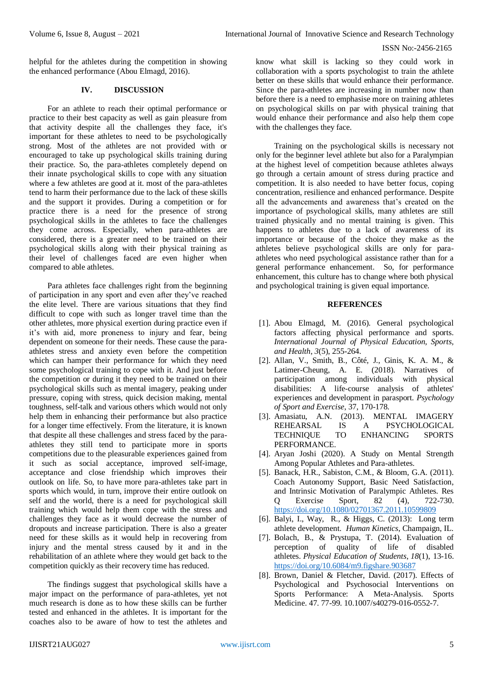helpful for the athletes during the competition in showing the enhanced performance (Abou Elmagd, 2016).

# **IV. DISCUSSION**

For an athlete to reach their optimal performance or practice to their best capacity as well as gain pleasure from that activity despite all the challenges they face, it's important for these athletes to need to be psychologically strong. Most of the athletes are not provided with or encouraged to take up psychological skills training during their practice. So, the para-athletes completely depend on their innate psychological skills to cope with any situation where a few athletes are good at it. most of the para-athletes tend to harm their performance due to the lack of these skills and the support it provides. During a competition or for practice there is a need for the presence of strong psychological skills in the athletes to face the challenges they come across. Especially, when para-athletes are considered, there is a greater need to be trained on their psychological skills along with their physical training as their level of challenges faced are even higher when compared to able athletes.

Para athletes face challenges right from the beginning of participation in any sport and even after they've reached the elite level. There are various situations that they find difficult to cope with such as longer travel time than the other athletes, more physical exertion during practice even if it's with aid, more proneness to injury and fear, being dependent on someone for their needs. These cause the paraathletes stress and anxiety even before the competition which can hamper their performance for which they need some psychological training to cope with it. And just before the competition or during it they need to be trained on their psychological skills such as mental imagery, peaking under pressure, coping with stress, quick decision making, mental toughness, self-talk and various others which would not only help them in enhancing their performance but also practice for a longer time effectively. From the literature, it is known that despite all these challenges and stress faced by the paraathletes they still tend to participate more in sports competitions due to the pleasurable experiences gained from it such as social acceptance, improved self-image, acceptance and close friendship which improves their outlook on life. So, to have more para-athletes take part in sports which would, in turn, improve their entire outlook on self and the world, there is a need for psychological skill training which would help them cope with the stress and challenges they face as it would decrease the number of dropouts and increase participation. There is also a greater need for these skills as it would help in recovering from injury and the mental stress caused by it and in the rehabilitation of an athlete where they would get back to the competition quickly as their recovery time has reduced.

The findings suggest that psychological skills have a major impact on the performance of para-athletes, yet not much research is done as to how these skills can be further tested and enhanced in the athletes. It is important for the coaches also to be aware of how to test the athletes and

know what skill is lacking so they could work in collaboration with a sports psychologist to train the athlete better on these skills that would enhance their performance. Since the para-athletes are increasing in number now than before there is a need to emphasise more on training athletes on psychological skills on par with physical training that would enhance their performance and also help them cope with the challenges they face.

Training on the psychological skills is necessary not only for the beginner level athlete but also for a Paralympian at the highest level of competition because athletes always go through a certain amount of stress during practice and competition. It is also needed to have better focus, coping concentration, resilience and enhanced performance. Despite all the advancements and awareness that's created on the importance of psychological skills, many athletes are still trained physically and no mental training is given. This happens to athletes due to a lack of awareness of its importance or because of the choice they make as the athletes believe psychological skills are only for paraathletes who need psychological assistance rather than for a general performance enhancement. So, for performance enhancement, this culture has to change where both physical and psychological training is given equal importance.

# **REFERENCES**

- [1]. Abou Elmagd, M. (2016). General psychological factors affecting physical performance and sports. *International Journal of Physical Education, Sports, and Health*, *3*(5), 255-264.
- [2]. Allan, V., Smith, B., Côté, J., Ginis, K. A. M., & Latimer-Cheung, A. E. (2018). Narratives of participation among individuals with physical disabilities: A life-course analysis of athletes' experiences and development in parasport. *Psychology of Sport and Exercise*, 37, 170-178.
- [3]. Amasiatu, A.N. (2013). MENTAL IMAGERY REHEARSAL IS A PSYCHOLOGICAL TECHNIQUE TO ENHANCING SPORTS PERFORMANCE.
- [4]. Aryan Joshi (2020). A Study on Mental Strength Among Popular Athletes and Para-athletes.
- [5]. Banack, H.R., Sabiston, C.M., & Bloom, G.A. (2011). Coach Autonomy Support, Basic Need Satisfaction, and Intrinsic Motivation of Paralympic Athletes. Res Q Exercise Sport, 82 (4), 722-730. <https://doi.org/10.1080/02701367.2011.10599809>
- [6]. Balyi, I., Way, R., & Higgs, C. (2013): Long term athlete development*. Human Kinetics*, Champaign, IL.
- [7]. Bolach, B., & Prystupa, T. (2014). Evaluation of perception of quality of life of disabled athletes. *Physical Education of Students*, *18*(1), 13-16. <https://doi.org/10.6084/m9.figshare.903687>
- [8]. Brown, Daniel & Fletcher, David. (2017). Effects of Psychological and Psychosocial Interventions on Sports Performance: A Meta-Analysis. Sports Medicine. 47. 77-99. 10.1007/s40279-016-0552-7.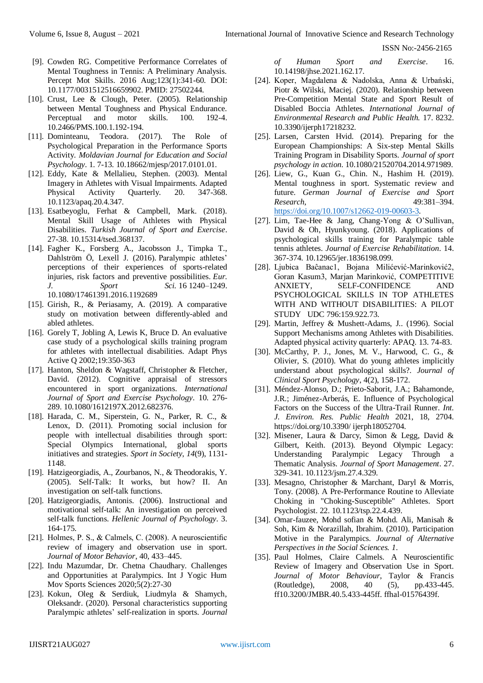- [9]. Cowden RG. Competitive Performance Correlates of Mental Toughness in Tennis: A Preliminary Analysis. Percept Mot Skills. 2016 Aug;123(1):341-60. DOI: 10.1177/0031512516659902. PMID: 27502244.
- [10]. Crust, Lee & Clough, Peter. (2005). Relationship between Mental Toughness and Physical Endurance. Perceptual and motor skills. 100. 192-4. 10.2466/PMS.100.1.192-194.
- [11]. Dominteanu, Teodora. (2017). The Role of Psychological Preparation in the Performance Sports Activity. *Moldavian Journal for Education and Social Psychology*. 1. 7-13. 10.18662/mjesp/2017.0101.01.
- [12]. Eddy, Kate & Mellalieu, Stephen. (2003). Mental Imagery in Athletes with Visual Impairments. Adapted Physical Activity Quarterly. 20. 347-368. 10.1123/apaq.20.4.347.
- [13]. Esatbeyoglu, Ferhat & Campbell, Mark. (2018). Mental Skill Usage of Athletes with Physical Disabilities. *Turkish Journal of Sport and Exercise*. 27-38. 10.15314/tsed.368137.
- [14]. Fagher K., Forsberg A., Jacobsson J., Timpka T., Dahlström Ö, Lexell J. (2016). Paralympic athletes' perceptions of their experiences of sports-related injuries, risk factors and preventive possibilities. *Eur. J. Sport Sci.* 16 1240–1249. 10.1080/17461391.2016.1192689
- [15]. Girish, R., & Periasamy, A. (2019). A comparative study on motivation between differently-abled and abled athletes.
- [16]. Gorely T, Jobling A, Lewis K, Bruce D. An evaluative case study of a psychological skills training program for athletes with intellectual disabilities. Adapt Phys Active Q 2002;19:350-363
- [17]. Hanton, Sheldon & Wagstaff, Christopher & Fletcher, David. (2012). Cognitive appraisal of stressors encountered in sport organizations. *International Journal of Sport and Exercise Psychology*. 10. 276- 289. 10.1080/1612197X.2012.682376.
- [18]. Harada, C. M., Siperstein, G. N., Parker, R. C., & Lenox, D. (2011). Promoting social inclusion for people with intellectual disabilities through sport: Special Olympics International, global sports initiatives and strategies. *Sport in Society*, *14*(9), 1131- 1148.
- [19]. Hatzigeorgiadis, A., Zourbanos, N., & Theodorakis, Y. (2005). Self-Talk: It works, but how? II. An investigation on self-talk functions.
- [20]. Hatzigeorgiadis, Antonis. (2006). Instructional and motivational self-talk: An investigation on perceived self-talk functions*. Hellenic Journal of Psychology*. 3. 164-175.
- [21]. Holmes, P. S., & Calmels, C. (2008). A neuroscientific review of imagery and observation use in sport. *Journal of Motor Behavior*, 40, 433–445.
- [22]. Indu Mazumdar, Dr. Chetna Chaudhary. Challenges and Opportunities at Paralympics. Int J Yogic Hum Mov Sports Sciences 2020;5(2):27-30
- [23]. Kokun, Oleg & Serdiuk, Liudmyla & Shamych, Oleksandr. (2020). Personal characteristics supporting Paralympic athletes' self-realization in sports. *Journal*

*of Human Sport and Exercise*. 16. 10.14198/jhse.2021.162.17.

- [24]. Koper, Magdalena & Nadolska, Anna & Urbański, Piotr & Wilski, Maciej. (2020). Relationship between Pre-Competition Mental State and Sport Result of Disabled Boccia Athletes*. International Journal of Environmental Research and Public Health.* 17. 8232. 10.3390/ijerph17218232.
- [25]. Larsen, Carsten Hvid. (2014). Preparing for the European Championships: A Six-step Mental Skills Training Program in Disability Sports. *Journal of sport psychology in action*. 10.1080/21520704.2014.971989.
- [26]. Liew, G., Kuan G., Chin. N., Hashim H. (2019). Mental toughness in sport. Systematic review and future. *German Journal of Exercise and Sport Research*, 49:381–394. [https://doi.org/10.1007/s12662-019-00603-3.](https://doi.org/10.1007/s12662-019-00603-3)
- [27]. Lim, Tae-Hee & Jang, Chang-Yong & O'Sullivan, David & Oh, Hyunkyoung. (2018). Applications of psychological skills training for Paralympic table tennis athletes. *Journal of Exercise Rehabilitation*. 14. 367-374. 10.12965/jer.1836198.099.
- [28]. Ljubica Baĉanac1, Bojana Milićević-Marinković2, Goran Kasum3, Marjan Marinković, COMPETITIVE ANXIETY, SELF-CONFIDENCE AND PSYCHOLOGICAL SKILLS IN TOP ATHLETES WITH AND WITHOUT DISABILITIES: A PILOT STUDY UDC 796:159.922.73.
- [29]. Martin, Jeffrey & Mushett-Adams, J.. (1996). Social Support Mechanisms among Athletes with Disabilities. Adapted physical activity quarterly: APAQ. 13. 74-83.
- [30]. McCarthy, P. J., Jones, M. V., Harwood, C. G., & Olivier, S. (2010). What do young athletes implicitly understand about psychological skills?. *Journal of Clinical Sport Psychology*, 4(2), 158-172.
- [31]. Méndez-Alonso, D.; Prieto-Saborit, J.A.; Bahamonde, J.R.; Jiménez-Arberás, E. Influence of Psychological Factors on the Success of the Ultra-Trail Runner. *Int. J. Environ. Res. Public Health* 2021, 18, 2704. https://doi.org/10.3390/ ijerph18052704.
- [32]. Misener, Laura & Darcy, Simon & Legg, David & Gilbert, Keith. (2013). Beyond Olympic Legacy: Understanding Paralympic Legacy Through a Thematic Analysis. *Journal of Sport Management*. 27. 329-341. 10.1123/jsm.27.4.329.
- [33]. Mesagno, Christopher & Marchant, Daryl & Morris, Tony. (2008). A Pre-Performance Routine to Alleviate Choking in "Choking-Susceptible" Athletes. Sport Psychologist. 22. 10.1123/tsp.22.4.439.
- [34]. Omar-fauzee, Mohd sofian & Mohd. Ali, Manisah & Soh, Kim & Norazillah, Ibrahim. (2010). Participation Motive in the Paralympics. *Journal of Alternative Perspectives in the Social Sciences. 1*.
- [35]. Paul Holmes, Claire Calmels. A Neuroscientific Review of Imagery and Observation Use in Sport*. Journal of Motor Behaviour*, Taylor & Francis (Routledge), 2008, 40 (5), pp.433-445. ff10.3200/JMBR.40.5.433-445ff. ffhal-01576439f.